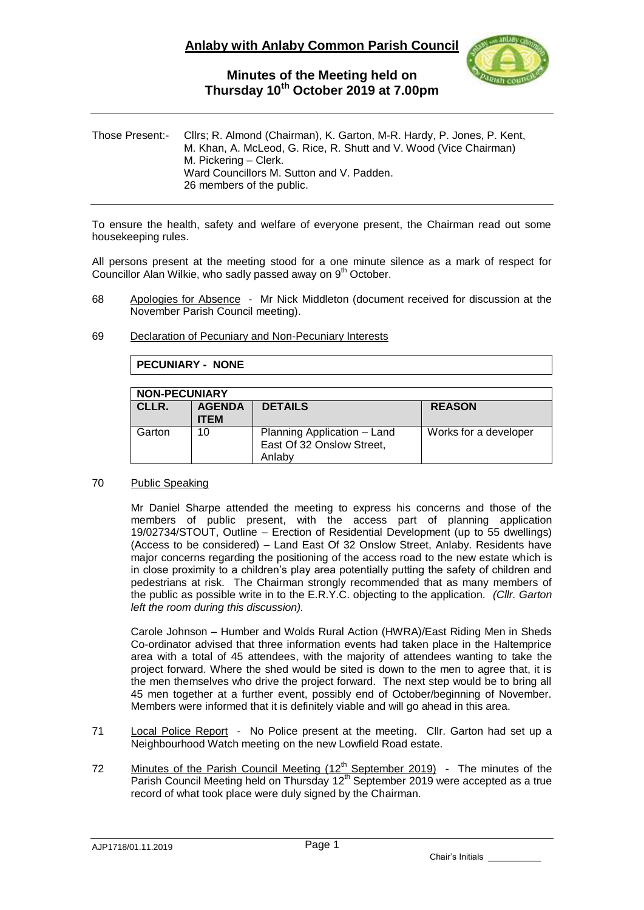

| Those Present:- | Cllrs; R. Almond (Chairman), K. Garton, M-R. Hardy, P. Jones, P. Kent,<br>M. Khan, A. McLeod, G. Rice, R. Shutt and V. Wood (Vice Chairman)<br>M. Pickering – Clerk.<br>Ward Councillors M. Sutton and V. Padden.<br>26 members of the public. |
|-----------------|------------------------------------------------------------------------------------------------------------------------------------------------------------------------------------------------------------------------------------------------|
|                 |                                                                                                                                                                                                                                                |

To ensure the health, safety and welfare of everyone present, the Chairman read out some housekeeping rules.

All persons present at the meeting stood for a one minute silence as a mark of respect for Councillor Alan Wilkie, who sadly passed away on 9<sup>th</sup> October.

- 68 Apologies for Absence Mr Nick Middleton (document received for discussion at the November Parish Council meeting).
- 69 Declaration of Pecuniary and Non-Pecuniary Interests

**PECUNIARY - NONE**

| <b>NON-PECUNIARY</b> |                              |                                                                    |                       |  |  |  |  |
|----------------------|------------------------------|--------------------------------------------------------------------|-----------------------|--|--|--|--|
| CLLR.                | <b>AGENDA</b><br><b>ITEM</b> | <b>DETAILS</b>                                                     | <b>REASON</b>         |  |  |  |  |
| Garton               | 10                           | Planning Application - Land<br>East Of 32 Onslow Street,<br>Anlaby | Works for a developer |  |  |  |  |

70 Public Speaking

Mr Daniel Sharpe attended the meeting to express his concerns and those of the members of public present, with the access part of planning application 19/02734/STOUT, Outline – Erection of Residential Development (up to 55 dwellings) (Access to be considered) – Land East Of 32 Onslow Street, Anlaby. Residents have major concerns regarding the positioning of the access road to the new estate which is in close proximity to a children's play area potentially putting the safety of children and pedestrians at risk. The Chairman strongly recommended that as many members of the public as possible write in to the E.R.Y.C. objecting to the application*. (Cllr. Garton left the room during this discussion).*

Carole Johnson – Humber and Wolds Rural Action (HWRA)/East Riding Men in Sheds Co-ordinator advised that three information events had taken place in the Haltemprice area with a total of 45 attendees, with the majority of attendees wanting to take the project forward. Where the shed would be sited is down to the men to agree that, it is the men themselves who drive the project forward. The next step would be to bring all 45 men together at a further event, possibly end of October/beginning of November. Members were informed that it is definitely viable and will go ahead in this area.

- 71 Local Police Report No Police present at the meeting. Cllr. Garton had set up a Neighbourhood Watch meeting on the new Lowfield Road estate.
- 72 Minutes of the Parish Council Meeting  $(12<sup>th</sup>$  September 2019) The minutes of the Parish Council Meeting held on Thursday 12<sup>th</sup> September 2019 were accepted as a true record of what took place were duly signed by the Chairman.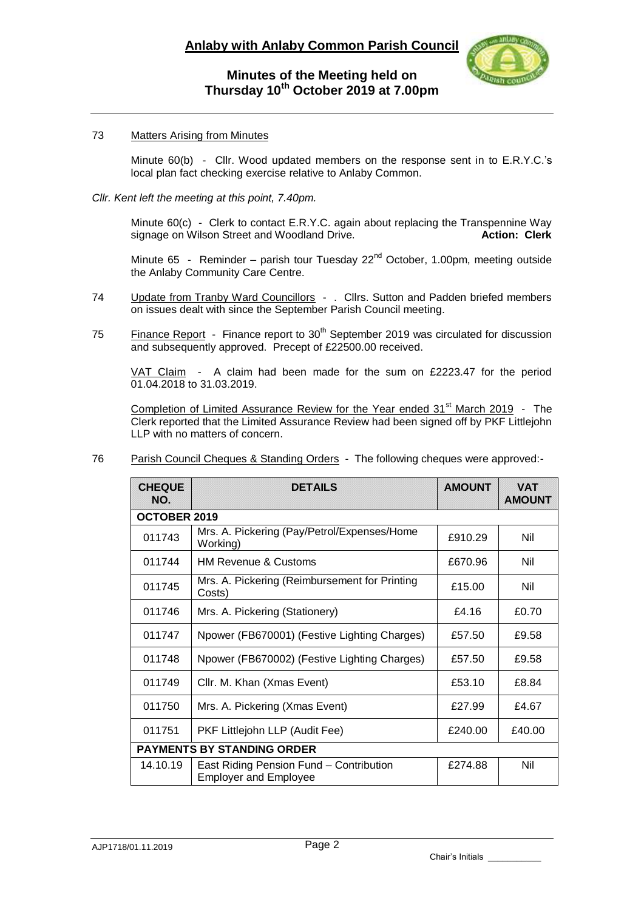

#### 73 Matters Arising from Minutes

Minute 60(b) - Cllr. Wood updated members on the response sent in to E.R.Y.C.'s local plan fact checking exercise relative to Anlaby Common.

#### *Cllr. Kent left the meeting at this point, 7.40pm.*

Minute 60(c) - Clerk to contact E.R.Y.C. again about replacing the Transpennine Way signage on Wilson Street and Woodland Drive. **Action: Clerk**

Minute 65 - Reminder – parish tour Tuesday  $22^{nd}$  October, 1.00pm, meeting outside the Anlaby Community Care Centre.

- 74 Update from Tranby Ward Councillors . Cllrs. Sutton and Padden briefed members on issues dealt with since the September Parish Council meeting.
- 75 Finance Report Finance report to 30<sup>th</sup> September 2019 was circulated for discussion and subsequently approved. Precept of £22500.00 received.

VAT Claim - A claim had been made for the sum on £2223.47 for the period 01.04.2018 to 31.03.2019.

Completion of Limited Assurance Review for the Year ended 31<sup>st</sup> March 2019 - The Clerk reported that the Limited Assurance Review had been signed off by PKF Littlejohn LLP with no matters of concern.

| 76 | <b>Parish Council Cheques &amp; Standing Orders</b> - The following cheques were approved:- |  |
|----|---------------------------------------------------------------------------------------------|--|
|    |                                                                                             |  |

| <b>CHEQUE</b><br>NO.              | <b>DETAILS</b>                                                          | <b>AMOUNT</b> | <b>VAT</b><br><b>AMOUNT</b> |  |  |  |  |
|-----------------------------------|-------------------------------------------------------------------------|---------------|-----------------------------|--|--|--|--|
| <b>OCTOBER 2019</b>               |                                                                         |               |                             |  |  |  |  |
| 011743                            | Mrs. A. Pickering (Pay/Petrol/Expenses/Home<br>Working)                 | £910.29       | Nil                         |  |  |  |  |
| 011744                            | <b>HM Revenue &amp; Customs</b>                                         | £670.96       | Nil                         |  |  |  |  |
| 011745                            | Mrs. A. Pickering (Reimbursement for Printing<br>Costs)                 | £15.00        | Nil                         |  |  |  |  |
| 011746                            | Mrs. A. Pickering (Stationery)                                          | £4.16         | £0.70                       |  |  |  |  |
| 011747                            | Npower (FB670001) (Festive Lighting Charges)                            | £57.50        | £9.58                       |  |  |  |  |
| 011748                            | Npower (FB670002) (Festive Lighting Charges)                            | £57.50        | £9.58                       |  |  |  |  |
| 011749                            | Cllr. M. Khan (Xmas Event)                                              | £53.10        | £8.84                       |  |  |  |  |
| 011750                            | Mrs. A. Pickering (Xmas Event)                                          | £27.99        | £4.67                       |  |  |  |  |
| 011751                            | PKF Littlejohn LLP (Audit Fee)                                          | £240.00       | £40.00                      |  |  |  |  |
| <b>PAYMENTS BY STANDING ORDER</b> |                                                                         |               |                             |  |  |  |  |
| 14.10.19                          | East Riding Pension Fund - Contribution<br><b>Employer and Employee</b> | £274.88       | Nil                         |  |  |  |  |

Chair's Initials \_\_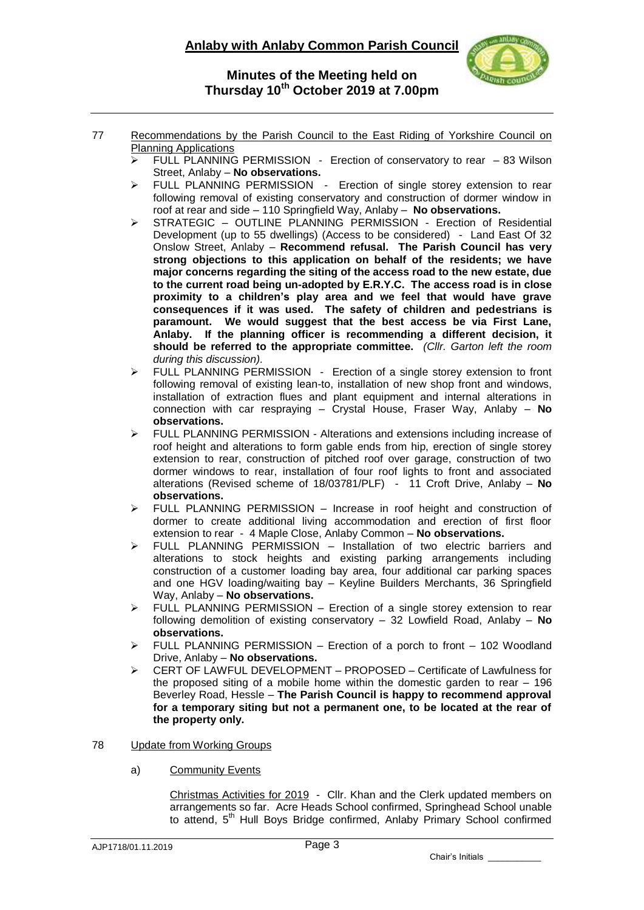## **Anlaby with Anlaby Common Parish Council**



#### **Minutes of the Meeting held on Thursday 10th October 2019 at 7.00pm**

- 77 Recommendations by the Parish Council to the East Riding of Yorkshire Council on Planning Applications
	- $\triangleright$  FULL PLANNING PERMISSION Erection of conservatory to rear  $-83$  Wilson Street, Anlaby – **No observations.**
	- FULL PLANNING PERMISSION Erection of single storey extension to rear following removal of existing conservatory and construction of dormer window in roof at rear and side – 110 Springfield Way, Anlaby – **No observations.**
	- $\triangleright$  STRATEGIC OUTLINE PLANNING PERMISSION Erection of Residential Development (up to 55 dwellings) (Access to be considered) - Land East Of 32 Onslow Street, Anlaby – **Recommend refusal. The Parish Council has very strong objections to this application on behalf of the residents; we have major concerns regarding the siting of the access road to the new estate, due to the current road being un-adopted by E.R.Y.C. The access road is in close proximity to a children's play area and we feel that would have grave consequences if it was used. The safety of children and pedestrians is paramount. We would suggest that the best access be via First Lane, Anlaby. If the planning officer is recommending a different decision, it should be referred to the appropriate committee.** *(Cllr. Garton left the room during this discussion).*
	- > FULL PLANNING PERMISSION Erection of a single storey extension to front following removal of existing lean-to, installation of new shop front and windows, installation of extraction flues and plant equipment and internal alterations in connection with car respraying – Crystal House, Fraser Way, Anlaby – **No observations.**
	- FULL PLANNING PERMISSION Alterations and extensions including increase of roof height and alterations to form gable ends from hip, erection of single storey extension to rear, construction of pitched roof over garage, construction of two dormer windows to rear, installation of four roof lights to front and associated alterations (Revised scheme of 18/03781/PLF) - 11 Croft Drive, Anlaby – **No observations.**
	- $\triangleright$  FULL PLANNING PERMISSION Increase in roof height and construction of dormer to create additional living accommodation and erection of first floor extension to rear - 4 Maple Close, Anlaby Common – **No observations.**
	- $\triangleright$  FULL PLANNING PERMISSION Installation of two electric barriers and alterations to stock heights and existing parking arrangements including construction of a customer loading bay area, four additional car parking spaces and one HGV loading/waiting bay – Keyline Builders Merchants, 36 Springfield Way, Anlaby – **No observations.**
	- $\triangleright$  FULL PLANNING PERMISSION Erection of a single storey extension to rear following demolition of existing conservatory – 32 Lowfield Road, Anlaby – **No observations.**
	- $\triangleright$  FULL PLANNING PERMISSION Erection of a porch to front 102 Woodland Drive, Anlaby – **No observations.**
	- CERT OF LAWFUL DEVELOPMENT PROPOSED Certificate of Lawfulness for the proposed siting of a mobile home within the domestic garden to rear – 196 Beverley Road, Hessle – **The Parish Council is happy to recommend approval for a temporary siting but not a permanent one, to be located at the rear of the property only.**

#### 78 Update from Working Groups

a) Community Events

Christmas Activities for 2019 - Cllr. Khan and the Clerk updated members on arrangements so far. Acre Heads School confirmed, Springhead School unable to attend, 5<sup>th</sup> Hull Boys Bridge confirmed, Anlaby Primary School confirmed

Chair's Initials \_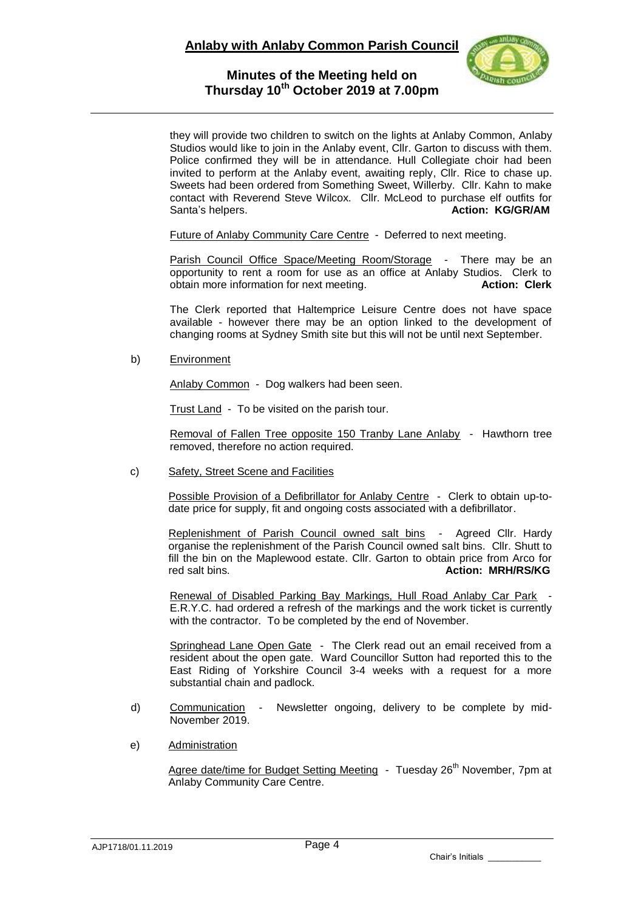

they will provide two children to switch on the lights at Anlaby Common, Anlaby Studios would like to join in the Anlaby event, Cllr. Garton to discuss with them. Police confirmed they will be in attendance. Hull Collegiate choir had been invited to perform at the Anlaby event, awaiting reply, Cllr. Rice to chase up. Sweets had been ordered from Something Sweet, Willerby. Cllr. Kahn to make contact with Reverend Steve Wilcox. Cllr. McLeod to purchase elf outfits for Santa's helpers. **Action: KG/GR/AM** 

Future of Anlaby Community Care Centre - Deferred to next meeting.

Parish Council Office Space/Meeting Room/Storage - There may be an opportunity to rent a room for use as an office at Anlaby Studios. Clerk to obtain more information for next meeting. **Action: Clerk**

The Clerk reported that Haltemprice Leisure Centre does not have space available - however there may be an option linked to the development of changing rooms at Sydney Smith site but this will not be until next September.

b) Environment

Anlaby Common - Dog walkers had been seen.

Trust Land - To be visited on the parish tour.

Removal of Fallen Tree opposite 150 Tranby Lane Anlaby - Hawthorn tree removed, therefore no action required.

#### c) Safety, Street Scene and Facilities

Possible Provision of a Defibrillator for Anlaby Centre - Clerk to obtain up-todate price for supply, fit and ongoing costs associated with a defibrillator.

Replenishment of Parish Council owned salt bins - Agreed Cllr. Hardy organise the replenishment of the Parish Council owned salt bins. Cllr. Shutt to fill the bin on the Maplewood estate. Cllr. Garton to obtain price from Arco for red salt bins. **Action: MRH/RS/KG**

Renewal of Disabled Parking Bay Markings, Hull Road Anlaby Car Park E.R.Y.C. had ordered a refresh of the markings and the work ticket is currently with the contractor. To be completed by the end of November.

Springhead Lane Open Gate - The Clerk read out an email received from a resident about the open gate. Ward Councillor Sutton had reported this to the East Riding of Yorkshire Council 3-4 weeks with a request for a more substantial chain and padlock.

- d) Communication Newsletter ongoing, delivery to be complete by mid-November 2019.
- e) Administration

Agree date/time for Budget Setting Meeting - Tuesday 26<sup>th</sup> November, 7pm at Anlaby Community Care Centre.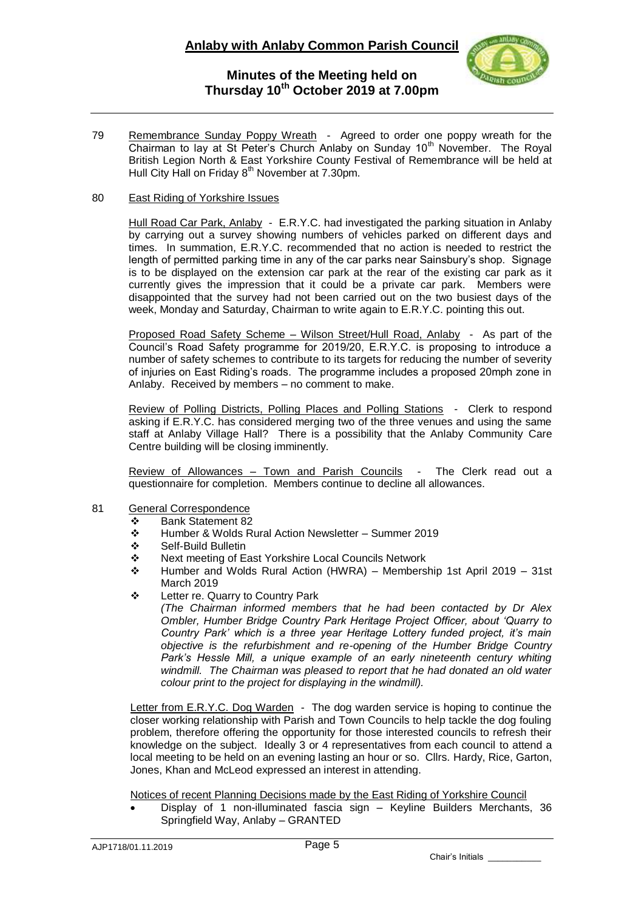

79 Remembrance Sunday Poppy Wreath - Agreed to order one poppy wreath for the Chairman to lay at St Peter's Church Anlaby on Sunday  $10<sup>th</sup>$  November. The Royal British Legion North & East Yorkshire County Festival of Remembrance will be held at Hull City Hall on Friday  $8<sup>th</sup>$  November at 7.30pm.

#### 80 East Riding of Yorkshire Issues

Hull Road Car Park, Anlaby - E.R.Y.C. had investigated the parking situation in Anlaby by carrying out a survey showing numbers of vehicles parked on different days and times. In summation, E.R.Y.C. recommended that no action is needed to restrict the length of permitted parking time in any of the car parks near Sainsbury's shop. Signage is to be displayed on the extension car park at the rear of the existing car park as it currently gives the impression that it could be a private car park. Members were disappointed that the survey had not been carried out on the two busiest days of the week, Monday and Saturday, Chairman to write again to E.R.Y.C. pointing this out.

Proposed Road Safety Scheme - Wilson Street/Hull Road, Anlaby - As part of the Council's Road Safety programme for 2019/20, E.R.Y.C. is proposing to introduce a number of safety schemes to contribute to its targets for reducing the number of severity of injuries on East Riding's roads. The programme includes a proposed 20mph zone in Anlaby. Received by members – no comment to make.

Review of Polling Districts, Polling Places and Polling Stations - Clerk to respond asking if E.R.Y.C. has considered merging two of the three venues and using the same staff at Anlaby Village Hall? There is a possibility that the Anlaby Community Care Centre building will be closing imminently.

Review of Allowances - Town and Parish Councils - The Clerk read out a questionnaire for completion. Members continue to decline all allowances.

- 81 General Correspondence
	- Bank Statement 82
	- Humber & Wolds Rural Action Newsletter Summer 2019
	- Self-Build Bulletin
	- Next meeting of East Yorkshire Local Councils Network
	- Humber and Wolds Rural Action (HWRA) Membership 1st April 2019 31st March 2019
	- Letter re. Quarry to Country Park
		- *(The Chairman informed members that he had been contacted by Dr Alex Ombler, Humber Bridge Country Park Heritage Project Officer, about 'Quarry to Country Park' which is a three year Heritage Lottery funded project, it's main objective is the refurbishment and re-opening of the Humber Bridge Country Park's Hessle Mill, a unique example of an early nineteenth century whiting windmill. The Chairman was pleased to report that he had donated an old water colour print to the project for displaying in the windmill).*

Letter from E.R.Y.C. Dog Warden - The dog warden service is hoping to continue the closer working relationship with Parish and Town Councils to help tackle the dog fouling problem, therefore offering the opportunity for those interested councils to refresh their knowledge on the subject. Ideally 3 or 4 representatives from each council to attend a local meeting to be held on an evening lasting an hour or so. Cllrs. Hardy, Rice, Garton, Jones, Khan and McLeod expressed an interest in attending.

Notices of recent Planning Decisions made by the East Riding of Yorkshire Council

 Display of 1 non-illuminated fascia sign – Keyline Builders Merchants, 36 Springfield Way, Anlaby – GRANTED